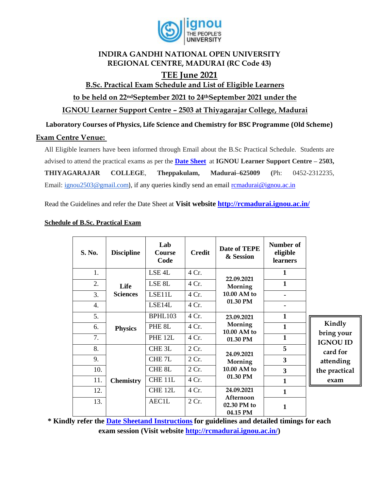

### **INDIRA GANDHI NATIONAL OPEN UNIVERSITY REGIONAL CENTRE, MADURAI (RC Code 43)**

## **TEE June 2021**

**B.Sc. Practical Exam Schedule and List of Eligible Learners** 

**to be held on 22ndSeptember 2021 to 24thSeptember 2021 under the** 

**IGNOU Learner Support Centre – 2503 at Thiyagarajar College, Madurai** 

**Laboratory Courses of Physics, Life Science and Chemistry for BSC Programme (Old Scheme)** 

#### **Exam Centre Venue:**

All Eligible learners have been informed through Email about the B.Sc Practical Schedule. Students are advised to attend the practical exams as per the **[Date Sheet](http://rcmadurai.ignou.ac.in/Ignou-RC-Madurai/userfiles/file/Guidelines%20for%20students%20of%20B_Sc_Practical_TEEDec20.pdf)** at **IGNOU Learner Support Centre – 2503, THIYAGARAJAR COLLEGE**, **Theppakulam, Madurai–625009 (**Ph: 0452-2312235, Email: [ignou2503@gmail.com](mailto:ignou2503@gmail.com)), if any queries kindly send an email [rcmadurai@ignou.ac.in](mailto:rcmadurai@ignou.ac.in)

Read the Guidelines and refer the Date Sheet at **Visit website<http://rcmadurai.ignou.ac.in/>**

| S. No. | <b>Discipline</b>       | Lab<br><b>Course</b><br>Code | <b>Credit</b> | Date of TEPE<br>& Session                                                                              | Number of<br>eligible<br>learners |                                                                                 |
|--------|-------------------------|------------------------------|---------------|--------------------------------------------------------------------------------------------------------|-----------------------------------|---------------------------------------------------------------------------------|
| 1.     | Life<br><b>Sciences</b> | LSE <sub>4</sub> L           | 4 Cr.         | 22.09.2021<br>Morning<br>10.00 AM to<br>01.30 PM                                                       | 1                                 |                                                                                 |
| 2.     |                         | LSE <sub>8L</sub>            | 4 Cr.         |                                                                                                        | $\mathbf{1}$                      |                                                                                 |
| 3.     |                         | LSE11L                       | 4 Cr.         |                                                                                                        |                                   |                                                                                 |
| 4.     |                         | LSE14L                       | 4 Cr.         |                                                                                                        |                                   |                                                                                 |
| 5.     |                         | BPHL103                      | 4 Cr.         | 23.09.2021                                                                                             | $\mathbf{1}$                      |                                                                                 |
| 6.     | <b>Physics</b>          | PHE <sub>8L</sub>            | 4 Cr.         | Morning<br>10.00 AM to                                                                                 | 1                                 | Kindly                                                                          |
| 7.     |                         | PHE <sub>12L</sub>           | 4 Cr.         | 01.30 PM                                                                                               | $\mathbf{1}$                      | bring your<br><b>IGNOU ID</b><br>card for<br>attending<br>the practical<br>exam |
| 8.     | <b>Chemistry</b>        | CHE <sub>3L</sub>            | 2 Cr.         | 24.09.2021<br>Morning<br>10.00 AM to<br>01.30 PM<br>24.09.2021<br>Afternoon<br>02.30 PM to<br>04.15 PM | 5                                 |                                                                                 |
| 9.     |                         | CHE <sub>7L</sub>            | 2 Cr.         |                                                                                                        | 3                                 |                                                                                 |
| 10.    |                         | CHE <sub>8L</sub>            | 2 Cr.         |                                                                                                        | 3                                 |                                                                                 |
| 11.    |                         | CHE <sub>11L</sub>           | 4 Cr.         |                                                                                                        | $\mathbf{1}$                      |                                                                                 |
| 12.    |                         | CHE <sub>12L</sub>           | 4 Cr.         |                                                                                                        | $\mathbf{1}$                      |                                                                                 |
| 13.    |                         | <b>AEC1L</b>                 | 2 Cr.         |                                                                                                        | 1                                 |                                                                                 |

#### **Schedule of B.Sc. Practical Exam**

**\* Kindly refer the [Date Sheetand Instructions](http://rcbijapur.ignou.ac.in/Ignou-RC-Bijapur/userfiles/file/guidelines%20for%20students%20of%20B_Sc_Programme.pdf) for guidelines and detailed timings for each exam session (Visit website [http://rcmadurai.ignou.ac.in/\)](http://rcmadurai.ignou.ac.in/)**